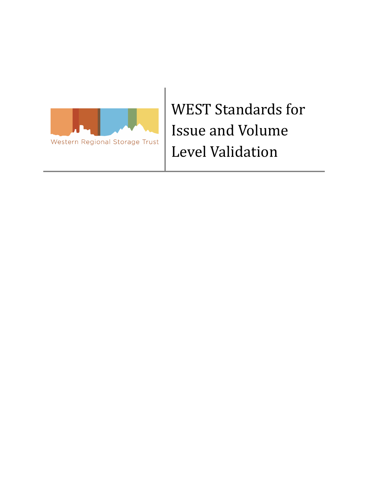

 WEST Standards for Issue and Volume Level Validation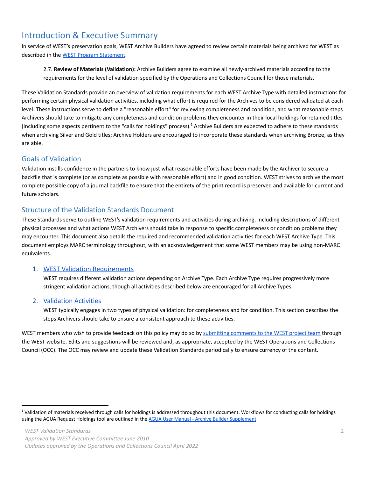# Introduction & Executive Summary

 In service of WEST's preservation goals, WEST Archive Builders have agreed to review certain materials being archived for WEST as described in the WEST Program [Statement.](https://cdlib.org/wp-content/uploads/2018/11/WESTProgramStatement.pdf)

 2.7. **Review of Materials (Validation):** Archive Builders agree to examine all newly-archived materials according to the requirements for the level of validation specified by the Operations and Collections Council for those materials.

 These Validation Standards provide an overview of validation requirements for each WEST Archive Type with detailed instructions for performing certain physical validation activities, including what effort is required for the Archives to be considered validated at each level. These instructions serve to define a "reasonable effort" for reviewing completeness and condition, and what reasonable steps Archivers should take to mitigate any completeness and condition problems they encounter in their local holdings for retained titles (including some aspects pertinent to the "calls for holdings" process).<sup>1</sup> Archive Builders are expected to adhere to these standards when archiving Silver and Gold titles; Archive Holders are encouraged to incorporate these standards when archiving Bronze, as they are able.

## Goals of Validation

 Validation instills confidence in the partners to know just what reasonable efforts have been made by the Archiver to secure a backfile that is complete (or as complete as possible with reasonable effort) and in good condition. WEST strives to archive the most complete possible copy of a journal backfile to ensure that the entirety of the print record is preserved and available for current and future scholars.

# Structure of the Validation Standards Document

 These Standards serve to outline WEST's validation requirements and activities during archiving, including descriptions of different physical processes and what actions WEST Archivers should take in response to specific completeness or condition problems they may encounter. This document also details the required and recommended validation activities for each WEST Archive Type. This document employs MARC terminology throughout, with an acknowledgement that some WEST members may be using non-MARC equivalents.

#### 1. [WEST Validation Requirements](#page-2-0)

 WEST requires different validation actions depending on Archive Type. Each Archive Type requires progressively more stringent validation actions, though all activities described below are encouraged for all Archive Types.

### 2. [Validation Activities](#page-3-0)

 WEST typically engages in two types of physical validation: for completeness and for condition. This section describes the steps Archivers should take to ensure a consistent approach to these activities.

WEST members who wish to provide feedback on this policy may do so by [submitting](https://cdlib.org/west/contact-west/) comments to the WEST project team through the WEST website. Edits and suggestions will be reviewed and, as appropriate, accepted by the WEST Operations and Collections Council (OCC). The OCC may review and update these Validation Standards periodically to ensure currency of the content.

<sup>&</sup>lt;sup>1</sup> Validation of materials received through calls for holdings is addressed throughout this document. Workflows for conducting calls for holdings using the AGUA Request Holdings tool are outlined in the [AGUA User Manual - Archive Builder Supplement](https://cdlib.org/wp-content/uploads/2021/09/WEST-AGUA-User-Manual-Archive-Builder-Supplement.pdf).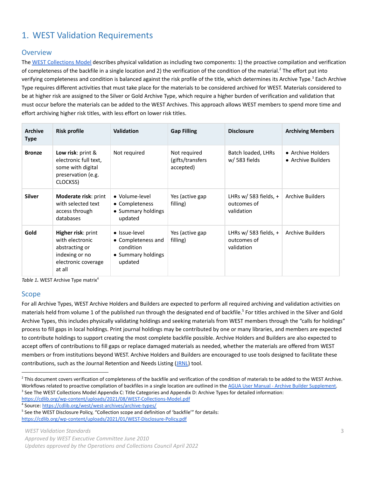# <span id="page-2-0"></span>1. WEST Validation Requirements

#### **Overview**

The WEST [Collections](https://cdlib.org/wp-content/uploads/2021/08/WEST-Collections-Model.pdf) Model describes physical validation as including two components: 1) the proactive compilation and verification of completeness of the backfile in a single location and 2) the verification of the condition of the material.<sup>2</sup> The effort put into verifying completeness and condition is balanced against the risk profile of the title, which determines its Archive Type.<sup>3</sup> Each Archive Type requires different activities that must take place for the materials to be considered archived for WEST. Materials considered to be at higher risk are assigned to the Silver or Gold Archive Type, which require a higher burden of verification and validation that must occur before the materials can be added to the WEST Archives. This approach allows WEST members to spend more time and effort archiving higher risk titles, with less effort on lower risk titles.

| <b>Archive</b><br><b>Type</b> | <b>Risk profile</b>                                                                                        | <b>Validation</b>                                                                 | <b>Gap Filling</b>                            | <b>Disclosure</b>                                    | <b>Archiving Members</b>                |
|-------------------------------|------------------------------------------------------------------------------------------------------------|-----------------------------------------------------------------------------------|-----------------------------------------------|------------------------------------------------------|-----------------------------------------|
| <b>Bronze</b>                 | Low risk: print &<br>electronic full text,<br>some with digital<br>preservation (e.g.<br>CLOCKSS)          | Not required                                                                      | Not required<br>(gifts/transfers<br>accepted) | Batch loaded, LHRs<br>w/583 fields                   | • Archive Holders<br>• Archive Builders |
| <b>Silver</b>                 | <b>Moderate risk: print</b><br>with selected text<br>access through<br>databases                           | • Volume-level<br>• Completeness<br>• Summary holdings<br>updated                 | Yes (active gap<br>filling)                   | LHRs w/ 583 fields, $+$<br>outcomes of<br>validation | Archive Builders                        |
| Gold                          | Higher risk: print<br>with electronic<br>abstracting or<br>indexing or no<br>electronic coverage<br>at all | • Issue-level<br>• Completeness and<br>condition<br>• Summary holdings<br>updated | Yes (active gap<br>filling)                   | LHRs w/ 583 fields, $+$<br>outcomes of<br>validation | Archive Builders                        |

Table 1. WEST Archive Type matrix<sup>4</sup>

#### Scope

 For all Archive Types, WEST Archive Holders and Builders are expected to perform all required archiving and validation activities on materials held from volume 1 of the published run through the designated end of backfile.<sup>5</sup> For titles archived in the Silver and Gold Archive Types, this includes physically validating holdings and seeking materials from WEST members through the "calls for holdings" process to fill gaps in local holdings. Print journal holdings may be contributed by one or many libraries, and members are expected to contribute holdings to support creating the most complete backfile possible. Archive Holders and Builders are also expected to accept offers of contributions to fill gaps or replace damaged materials as needed, whether the materials are offered from WEST members or from institutions beyond WEST. Archive Holders and Builders are encouraged to use tools designed to facilitate these contributions, such as the Journal Retention and Needs Listing ([JRNL](https://guides.uflib.ufl.edu/JRNL)) tool.

<sup>&</sup>lt;sup>2</sup> This document covers verification of completeness of the backfile and verification of the condition of materials to be added to the WEST Archive. Workflows related to proactive compilation of backfiles in a single location are outlined in the AGUA User [Manual - Archive Builder Supplement.](https://cdlib.org/wp-content/uploads/2021/09/WEST-AGUA-User-Manual-Archive-Builder-Supplement.pdf) <sup>3</sup> See The WEST Collections Model Appendix C: Title Categories and Appendix D: Archive Types for detailed information:

<https://cdlib.org/wp-content/uploads/2021/08/WEST-Collections-Model.pdf> <sup>4</sup> Source: <https://cdlib.org/west/west-archives/archive-types/>

<sup>&</sup>lt;sup>5</sup> See the WEST Disclosure Policy, "Collection scope and definition of 'backfile'" for details:

<https://cdlib.org/wp-content/uploads/2021/01/WEST-Disclosure-Policy.pdf>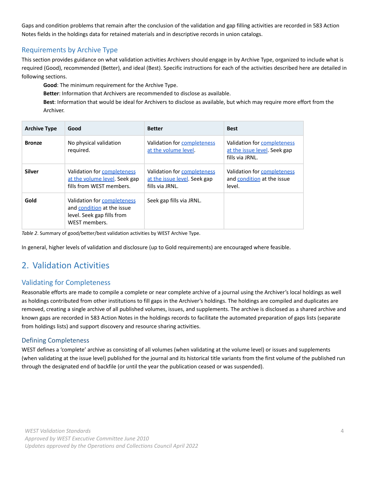Gaps and condition problems that remain after the conclusion of the validation and gap filling activities are recorded in 583 Action Notes fields in the holdings data for retained materials and in descriptive records in union catalogs.

## Requirements by Archive Type

 This section provides guidance on what validation activities Archivers should engage in by Archive Type, organized to include what is required (Good), recommended (Better), and ideal (Best). Specific instructions for each of the activities described here are detailed in following sections.

**Good**: The minimum requirement for the Archive Type.

**Better**: Information that Archivers are recommended to disclose as available.

 **Best**: Information that would be ideal for Archivers to disclose as available, but which may require more effort from the Archiver.

| <b>Archive Type</b> | Good                                                                                                     | <b>Better</b>                                                                  | <b>Best</b>                                                                    |
|---------------------|----------------------------------------------------------------------------------------------------------|--------------------------------------------------------------------------------|--------------------------------------------------------------------------------|
| <b>Bronze</b>       | No physical validation<br>required.                                                                      | Validation for completeness<br>at the volume level.                            | Validation for completeness<br>at the issue level. Seek gap<br>fills via JRNL. |
| <b>Silver</b>       | Validation for completeness<br>at the volume level. Seek gap<br>fills from WEST members.                 | Validation for completeness<br>at the issue level. Seek gap<br>fills via JRNL. | Validation for completeness<br>and condition at the issue<br>level.            |
| Gold                | Validation for completeness<br>and condition at the issue<br>level. Seek gap fills from<br>WEST members. | Seek gap fills via JRNL.                                                       |                                                                                |

*Table 2*. Summary of good/better/best validation activities by WEST Archive Type.

In general, higher levels of validation and disclosure (up to Gold requirements) are encouraged where feasible.

# <span id="page-3-0"></span>2. Validation Activities

# Validating for Completeness

 Reasonable efforts are made to compile a complete or near complete archive of a journal using the Archiver's local holdings as well as holdings contributed from other institutions to fill gaps in the Archiver's holdings. The holdings are compiled and duplicates are removed, creating a single archive of all published volumes, issues, and supplements. The archive is disclosed as a shared archive and known gaps are recorded in 583 Action Notes in the holdings records to facilitate the automated preparation of gaps lists (separate from holdings lists) and support discovery and resource sharing activities.

### Defining Completeness

 WEST defines a 'complete' archive as consisting of all volumes (when validating at the volume level) or issues and supplements (when validating at the issue level) published for the journal and its historical title variants from the first volume of the published run through the designated end of backfile (or until the year the publication ceased or was suspended).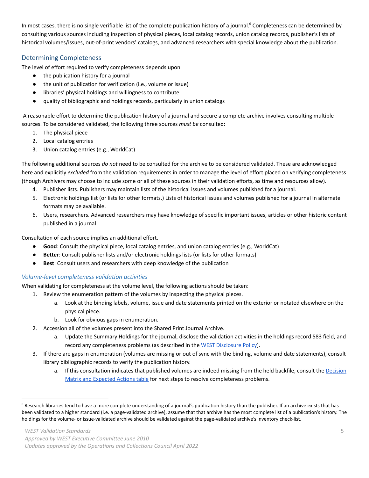In most cases, there is no single verifiable list of the complete publication history of a journal.<sup>6</sup> Completeness can be determined by consulting various sources including inspection of physical pieces, local catalog records, union catalog records, publisher's lists of historical volumes/issues, out-of-print vendors' catalogs, and advanced researchers with special knowledge about the publication.

#### Determining Completeness

The level of effort required to verify completeness depends upon

- the publication history for a journal
- the unit of publication for verification (i.e., volume or issue)
- libraries' physical holdings and willingness to contribute
- quality of bibliographic and holdings records, particularly in union catalogs

 A reasonable effort to determine the publication history of a journal and secure a complete archive involves consulting multiple sources. To be considered validated, the following three sources *must be* consulted:

- 1. The physical piece
- 2. Local catalog entries
- 3. Union catalog entries (e.g., WorldCat)

 The following additional sources *do not* need to be consulted for the archive to be considered validated. These are acknowledged here and explicitly *excluded* from the validation requirements in order to manage the level of effort placed on verifying completeness (though Archivers may choose to include some or all of these sources in their validation efforts, as time and resources allow).

- 4. Publisher lists. Publishers may maintain lists of the historical issues and volumes published for a journal.
- 5. Electronic holdings list (or lists for other formats.) Lists of historical issues and volumes published for a journal in alternate formats may be available.
- 6. Users, researchers. Advanced researchers may have knowledge of specific important issues, articles or other historic content published in a journal.

Consultation of each source implies an additional effort.

- **● Good**: Consult the physical piece, local catalog entries, and union catalog entries (e.g., WorldCat)
- **● Better**: Consult publisher lists and/or electronic holdings lists (or lists for other formats)
- **● Best**: Consult users and researchers with deep knowledge of the publication

#### <span id="page-4-0"></span> *Volume-level completeness validation activities*

When validating for completeness at the volume level, the following actions should be taken:

- 1. Review the enumeration pattern of the volumes by inspecting the physical pieces.
	- a. Look at the binding labels, volume, issue and date statements printed on the exterior or notated elsewhere on the physical piece.
	- b. Look for obvious gaps in enumeration.
- 2. Accession all of the volumes present into the Shared Print Journal Archive.
	- a. Update the Summary Holdings for the journal, disclose the validation activities in the holdings record 583 field, and record any completeness problems (as described in the WEST [Disclosure](https://cdlib.org/wp-content/uploads/2021/01/WEST-Disclosure-Policy.pdf) Policy).
- 3. If there are gaps in enumeration (volumes are missing or out of sync with the binding, volume and date statements), consult library bibliographic records to verify the publication history.
	- a. If this consultation indicates that published volumes are indeed missing from the held backfile, consult the [Decision](#page-8-0) Matrix and [Expected](#page-8-0) Actions table for next steps to resolve completeness problems.

<sup>&</sup>lt;sup>6</sup> Research libraries tend to have a more complete understanding of a journal's publication history than the publisher. If an archive exists that has been validated to a higher standard (i.e. a page-validated archive), assume that that archive has the most complete list of a publication's history. The holdings for the volume- or issue-validated archive should be validated against the page-validated archive's inventory check-list.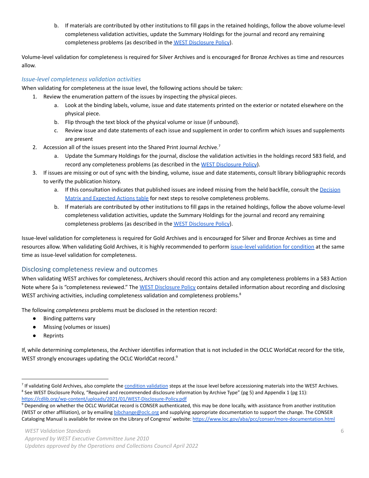b. If materials are contributed by other institutions to fill gaps in the retained holdings, follow the above volume-level completeness validation activities, update the Summary Holdings for the journal and record any remaining completeness problems (as described in the WEST [Disclosure](https://cdlib.org/wp-content/uploads/2021/01/WEST-Disclosure-Policy.pdf) Policy).

 Volume-level validation for completeness is required for Silver Archives and is encouraged for Bronze Archives as time and resources allow.

#### <span id="page-5-0"></span> *Issue-level completeness validation activities*

When validating for completeness at the issue level, the following actions should be taken:

- 1. Review the enumeration pattern of the issues by inspecting the physical pieces.
	- a. Look at the binding labels, volume, issue and date statements printed on the exterior or notated elsewhere on the physical piece.
	- b. Flip through the text block of the physical volume or issue (if unbound).
	- c. Review issue and date statements of each issue and supplement in order to confirm which issues and supplements are present
- 2. Accession all of the issues present into the Shared Print Journal Archive.<sup>7</sup>
	- a. Update the Summary Holdings for the journal, disclose the validation activities in the holdings record 583 field, and record any completeness problems (as described in the WEST [Disclosure](https://cdlib.org/wp-content/uploads/2021/01/WEST-Disclosure-Policy.pdf) Policy).
- 3. If issues are missing or out of sync with the binding, volume, issue and date statements, consult library bibliographic records to verify the publication history.
	- a. If this consultation indicates that published issues are indeed missing from the held backfile, consult the [Decision](#page-8-0) Matrix and [Expected](#page-8-0) Actions table for next steps to resolve completeness problems.
	- b. If materials are contributed by other institutions to fill gaps in the retained holdings, follow the above volume-level completeness validation activities, update the Summary Holdings for the journal and record any remaining completeness problems (as described in the WEST [Disclosure](https://cdlib.org/wp-content/uploads/2021/01/WEST-Disclosure-Policy.pdf) Policy).

 Issue-level validation for completeness is required for Gold Archives and is encouraged for Silver and Bronze Archives as time and resources allow. When validating Gold Archives, it is highly recommended to perform [issue-level](#page-6-1) validation for condition at the same time as issue-level validation for completeness.

#### Disclosing completeness review and outcomes

 When validating WEST archives for completeness, Archivers should record this action and any completeness problems in a 583 Action Note where \$a is "completeness reviewed." The <u>WEST [Disclosure](https://cdlib.org/wp-content/uploads/2021/01/WEST-Disclosure-Policy.pdf) Policy</u> contains detailed information about recording and disclosing WEST archiving activities, including completeness validation and completeness problems.<sup>8</sup>

The following *completeness* problems must be disclosed in the retention record:

- Binding patterns vary
- Missing (volumes or issues)
- Reprints

 If, while determining completeness, the Archiver identifies information that is not included in the OCLC WorldCat record for the title, WEST strongly encourages updating the OCLC WorldCat record.<sup>9</sup>

<sup>&</sup>lt;sup>7</sup> If validating Gold Archives, also complete the condition [validation](#page-6-1) steps at the issue level before accessioning materials into the WEST Archives. <sup>8</sup> See WEST Disclosure Policy, "Required and recommended disclosure information by Archive Type" (pg 5) and Appendix 1 (pg 11): <https://cdlib.org/wp-content/uploads/2021/01/WEST-Disclosure-Policy.pdf>

 $9$  Depending on whether the OCLC WorldCat record is CONSER authenticated, this may be done locally, with assistance from another institution (WEST or other affiliation), or by emailing [bibchange@oclc.org](mailto:bibchange@oclc.org) and supplying appropriate documentation to support the change. The CONSER Cataloging Manual is available for review on the Library of Congress' website: <https://www.loc.gov/aba/pcc/conser/more-documentation.html>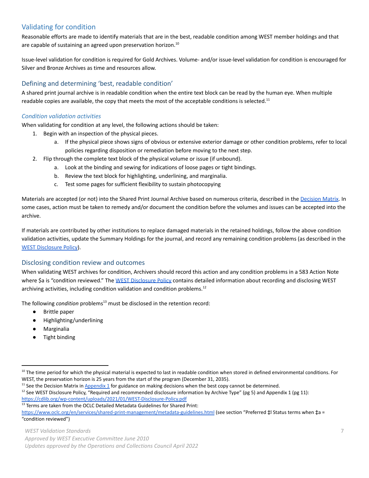# <span id="page-6-1"></span>Validating for condition

 Reasonable efforts are made to identify materials that are in the best, readable condition among WEST member holdings and that are capable of sustaining an agreed upon preservation [horizon.](https://horizon.10)<sup>10</sup>

 Issue-level validation for condition is required for Gold Archives. Volume- and/or issue-level validation for condition is encouraged for Silver and Bronze Archives as time and resources allow.

### Defining and determining 'best, readable condition'

 A shared print journal archive is in readable condition when the entire text block can be read by the human eye. When multiple readable copies are available, the copy that meets the most of the acceptable conditions is [selected.](https://selected.11)<sup>11</sup>

#### <span id="page-6-0"></span> *Condition validation activities*

When validating for condition at any level, the following actions should be taken:

- 1. Begin with an inspection of the physical pieces.
	- a. If the physical piece shows signs of obvious or extensive exterior damage or other condition problems, refer to local policies regarding disposition or remediation before moving to the next step.
- 2. Flip through the complete text block of the physical volume or issue (if unbound).
	- a. Look at the binding and sewing for indications of loose pages or tight bindings.
	- b. Review the text block for highlighting, underlining, and marginalia.
	- c. Test some pages for sufficient flexibility to sustain photocopying

Materials are accepted (or not) into the Shared Print Journal Archive based on numerous criteria, described in the <u>[Decision](#page-8-0) Matrix</u>. In some cases, action must be taken to remedy and/or document the condition before the volumes and issues can be accepted into the archive.

 If materials are contributed by other institutions to replace damaged materials in the retained holdings, follow the above condition validation activities, update the Summary Holdings for the journal, and record any remaining condition problems (as described in the WEST [Disclosure](https://cdlib.org/wp-content/uploads/2021/01/WEST-Disclosure-Policy.pdf) Policy).

#### Disclosing condition review and outcomes

 When validating WEST archives for condition, Archivers should record this action and any condition problems in a 583 Action Note where \$a is "condition reviewed." The <u>WEST [Disclosure](https://cdlib.org/wp-content/uploads/2021/01/WEST-Disclosure-Policy.pdf) Policy</u> contains detailed information about recording and disclosing WEST archiving activities, including condition validation and condition [problems.](https://problems.12)<sup>12</sup>

The following *condition* problems<sup>13</sup> must be disclosed in the retention record:

- Brittle paper
- Highlighting/underlining
- Marginalia
- Tight binding

<https://www.oclc.org/en/services/shared-print-management/metadata-guidelines.html> (see section "Preferred ‡l Status terms when ‡a = "condition reviewed")

 *Updates approved by the Operations and Collections Council April 2022*

<sup>&</sup>lt;sup>10</sup> The time period for which the physical material is expected to last in readable condition when stored in defined environmental conditions. For WEST, the preservation horizon is 25 years from the start of the program (December 31, 2035).

<sup>&</sup>lt;sup>11</sup> See the Decision Matrix in **[Appendix 1](#page-8-0)** for guidance on making decisions when the best copy cannot be determined.

<sup>&</sup>lt;sup>12</sup> See WEST Disclosure Policy, "Required and recommended disclosure information by Archive Type" (pg 5) and Appendix 1 (pg 11): <https://cdlib.org/wp-content/uploads/2021/01/WEST-Disclosure-Policy.pdf>

<sup>&</sup>lt;sup>13</sup> Terms are taken from the OCLC Detailed Metadata Guidelines for Shared Print:

 *Approved by WEST Executive Committee June 2010*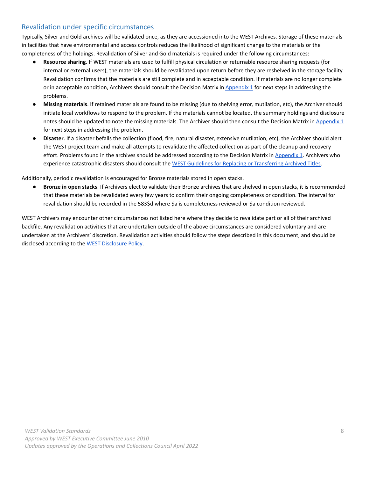## Revalidation under specific circumstances

 Typically, Silver and Gold archives will be validated once, as they are accessioned into the WEST Archives. Storage of these materials in facilities that have environmental and access controls reduces the likelihood of significant change to the materials or the completeness of the holdings. Revalidation of Silver and Gold materials is required under the following circumstances:

- **● Resource sharing**. If WEST materials are used to fulfill physical circulation or returnable resource sharing requests (for internal or external users), the materials should be revalidated upon return before they are reshelved in the storage facility. Revalidation confirms that the materials are still complete and in acceptable condition. If materials are no longer complete or in acceptable condition, Archivers should consult the Decision Matrix in [Appendix](#page-8-0) 1 for next steps in addressing the problems.
- **● Missing materials**. If retained materials are found to be missing (due to shelving error, mutilation, etc), the Archiver should initiate local workflows to respond to the problem. If the materials cannot be located, the summary holdings and disclosure notes should be updated to note the missing materials. The Archiver should then consult the Decision Matrix in [Appendix](#page-8-0) 1 for next steps in addressing the problem.
- **● Disaster**. If a disaster befalls the collection (flood, fire, natural disaster, extensive mutilation, etc), the Archiver should alert the WEST project team and make all attempts to revalidate the affected collection as part of the cleanup and recovery effort. Problems found in the archives should be addressed according to the Decision Matrix in [Appendix](#page-8-0) 1. Archivers who experience catastrophic disasters should consult the WEST Guidelines for Replacing or [Transferring](https://cdlib.org/wp-content/uploads/2020/07/WEST-Guidelines-for-Replacing-or-Transferring-Archived-Titles.pdf) Archived Titles.

Additionally, periodic revalidation is encouraged for Bronze materials stored in open stacks.

 ● **Bronze in open stacks**. If Archivers elect to validate their Bronze archives that are shelved in open stacks, it is recommended that these materials be revalidated every few years to confirm their ongoing completeness or condition. The interval for revalidation should be recorded in the 583\$d where \$a is completeness reviewed or \$a condition reviewed.

 WEST Archivers may encounter other circumstances not listed here where they decide to revalidate part or all of their archived backfile. Any revalidation activities that are undertaken outside of the above circumstances are considered voluntary and are undertaken at the Archivers' discretion. Revalidation activities should follow the steps described in this document, and should be disclosed according to the WEST [Disclosure](https://cdlib.org/wp-content/uploads/2021/01/WEST-Disclosure-Policy.pdf) Policy.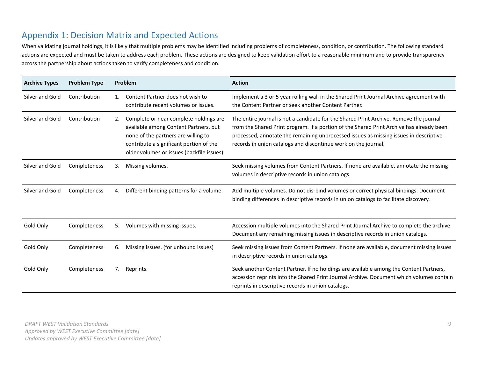# Appendix 1: Decision Matrix and Expected Actions

 When validating journal holdings, it is likely that multiple problems may be identified including problems of completeness, condition, or contribution. The following standard actions are expected and must be taken to address each problem. These actions are designed to keep validation effort to a reasonable minimum and to provide transparency across the partnership about actions taken to verify completeness and condition.

<span id="page-8-0"></span>

| <b>Archive Types</b> | <b>Problem Type</b> |    | Problem                                                                                                                                                                                                         | <b>Action</b>                                                                                                                                                                                                                                                                                                                                 |
|----------------------|---------------------|----|-----------------------------------------------------------------------------------------------------------------------------------------------------------------------------------------------------------------|-----------------------------------------------------------------------------------------------------------------------------------------------------------------------------------------------------------------------------------------------------------------------------------------------------------------------------------------------|
| Silver and Gold      | Contribution        | 1. | Content Partner does not wish to<br>contribute recent volumes or issues.                                                                                                                                        | Implement a 3 or 5 year rolling wall in the Shared Print Journal Archive agreement with<br>the Content Partner or seek another Content Partner.                                                                                                                                                                                               |
| Silver and Gold      | Contribution        | 2. | Complete or near complete holdings are<br>available among Content Partners, but<br>none of the partners are willing to<br>contribute a significant portion of the<br>older volumes or issues (backfile issues). | The entire journal is not a candidate for the Shared Print Archive. Remove the journal<br>from the Shared Print program. If a portion of the Shared Print Archive has already been<br>processed, annotate the remaining unprocessed issues as missing issues in descriptive<br>records in union catalogs and discontinue work on the journal. |
| Silver and Gold      | Completeness        | 3. | Missing volumes.                                                                                                                                                                                                | Seek missing volumes from Content Partners. If none are available, annotate the missing<br>volumes in descriptive records in union catalogs.                                                                                                                                                                                                  |
| Silver and Gold      | Completeness        | 4. | Different binding patterns for a volume.                                                                                                                                                                        | Add multiple volumes. Do not dis-bind volumes or correct physical bindings. Document<br>binding differences in descriptive records in union catalogs to facilitate discovery.                                                                                                                                                                 |
| Gold Only            | Completeness        | 5. | Volumes with missing issues.                                                                                                                                                                                    | Accession multiple volumes into the Shared Print Journal Archive to complete the archive.<br>Document any remaining missing issues in descriptive records in union catalogs.                                                                                                                                                                  |
| Gold Only            | Completeness        | 6. | Missing issues. (for unbound issues)                                                                                                                                                                            | Seek missing issues from Content Partners. If none are available, document missing issues<br>in descriptive records in union catalogs.                                                                                                                                                                                                        |
| Gold Only            | Completeness        | 7. | Reprints.                                                                                                                                                                                                       | Seek another Content Partner. If no holdings are available among the Content Partners,<br>accession reprints into the Shared Print Journal Archive. Document which volumes contain<br>reprints in descriptive records in union catalogs.                                                                                                      |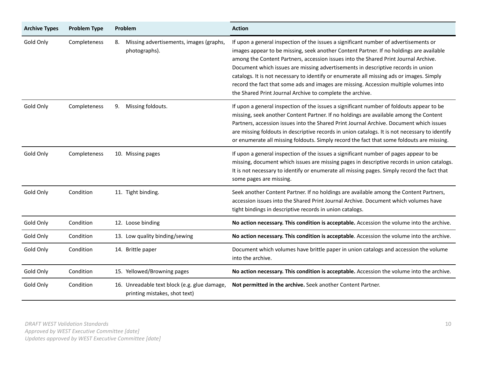| <b>Archive Types</b> | <b>Problem Type</b> | Problem                                                                       | <b>Action</b>                                                                                                                                                                                                                                                                                                                                                                                                                                                                                                                                                                                                |
|----------------------|---------------------|-------------------------------------------------------------------------------|--------------------------------------------------------------------------------------------------------------------------------------------------------------------------------------------------------------------------------------------------------------------------------------------------------------------------------------------------------------------------------------------------------------------------------------------------------------------------------------------------------------------------------------------------------------------------------------------------------------|
| Gold Only            | Completeness        | Missing advertisements, images (graphs,<br>8.<br>photographs).                | If upon a general inspection of the issues a significant number of advertisements or<br>images appear to be missing, seek another Content Partner. If no holdings are available<br>among the Content Partners, accession issues into the Shared Print Journal Archive.<br>Document which issues are missing advertisements in descriptive records in union<br>catalogs. It is not necessary to identify or enumerate all missing ads or images. Simply<br>record the fact that some ads and images are missing. Accession multiple volumes into<br>the Shared Print Journal Archive to complete the archive. |
| Gold Only            | Completeness        | Missing foldouts.<br>9.                                                       | If upon a general inspection of the issues a significant number of foldouts appear to be<br>missing, seek another Content Partner. If no holdings are available among the Content<br>Partners, accession issues into the Shared Print Journal Archive. Document which issues<br>are missing foldouts in descriptive records in union catalogs. It is not necessary to identify<br>or enumerate all missing foldouts. Simply record the fact that some foldouts are missing.                                                                                                                                  |
| Gold Only            | Completeness        | 10. Missing pages                                                             | If upon a general inspection of the issues a significant number of pages appear to be<br>missing, document which issues are missing pages in descriptive records in union catalogs.<br>It is not necessary to identify or enumerate all missing pages. Simply record the fact that<br>some pages are missing.                                                                                                                                                                                                                                                                                                |
| Gold Only            | Condition           | 11. Tight binding.                                                            | Seek another Content Partner. If no holdings are available among the Content Partners,<br>accession issues into the Shared Print Journal Archive. Document which volumes have<br>tight bindings in descriptive records in union catalogs.                                                                                                                                                                                                                                                                                                                                                                    |
| Gold Only            | Condition           | 12. Loose binding                                                             | No action necessary. This condition is acceptable. Accession the volume into the archive.                                                                                                                                                                                                                                                                                                                                                                                                                                                                                                                    |
| Gold Only            | Condition           | 13. Low quality binding/sewing                                                | No action necessary. This condition is acceptable. Accession the volume into the archive.                                                                                                                                                                                                                                                                                                                                                                                                                                                                                                                    |
| Gold Only            | Condition           | 14. Brittle paper                                                             | Document which volumes have brittle paper in union catalogs and accession the volume<br>into the archive.                                                                                                                                                                                                                                                                                                                                                                                                                                                                                                    |
| Gold Only            | Condition           | 15. Yellowed/Browning pages                                                   | No action necessary. This condition is acceptable. Accession the volume into the archive.                                                                                                                                                                                                                                                                                                                                                                                                                                                                                                                    |
| Gold Only            | Condition           | 16. Unreadable text block (e.g. glue damage,<br>printing mistakes, shot text) | Not permitted in the archive. Seek another Content Partner.                                                                                                                                                                                                                                                                                                                                                                                                                                                                                                                                                  |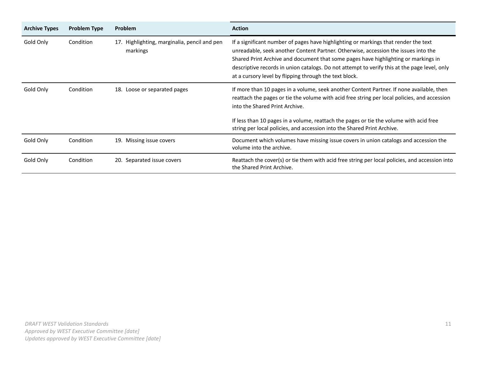| <b>Archive Types</b> | <b>Problem Type</b> | <b>Problem</b>                                           | <b>Action</b>                                                                                                                                                                                                                                                                                                                                                                                                             |
|----------------------|---------------------|----------------------------------------------------------|---------------------------------------------------------------------------------------------------------------------------------------------------------------------------------------------------------------------------------------------------------------------------------------------------------------------------------------------------------------------------------------------------------------------------|
| Gold Only            | Condition           | 17. Highlighting, marginalia, pencil and pen<br>markings | If a significant number of pages have highlighting or markings that render the text<br>unreadable, seek another Content Partner. Otherwise, accession the issues into the<br>Shared Print Archive and document that some pages have highlighting or markings in<br>descriptive records in union catalogs. Do not attempt to verify this at the page level, only<br>at a cursory level by flipping through the text block. |
| Gold Only            | Condition           | Loose or separated pages<br>18.                          | If more than 10 pages in a volume, seek another Content Partner. If none available, then<br>reattach the pages or tie the volume with acid free string per local policies, and accession<br>into the Shared Print Archive.                                                                                                                                                                                                |
|                      |                     |                                                          | If less than 10 pages in a volume, reattach the pages or tie the volume with acid free<br>string per local policies, and accession into the Shared Print Archive.                                                                                                                                                                                                                                                         |
| Gold Only            | Condition           | Missing issue covers<br>19.                              | Document which volumes have missing issue covers in union catalogs and accession the<br>volume into the archive.                                                                                                                                                                                                                                                                                                          |
| Gold Only            | Condition           | Separated issue covers<br>20.                            | Reattach the cover(s) or tie them with acid free string per local policies, and accession into<br>the Shared Print Archive.                                                                                                                                                                                                                                                                                               |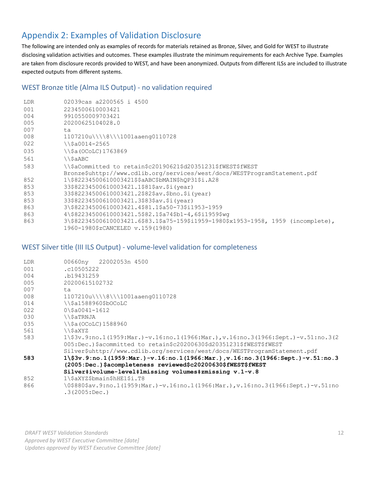# Appendix 2: Examples of Validation Disclosure

 The following are intended only as examples of records for materials retained as Bronze, Silver, and Gold for WEST to illustrate disclosing validation activities and outcomes. These examples illustrate the minimum requirements for each Archive Type. Examples are taken from disclosure records provided to WEST, and have been anonymized. Outputs from different ILSs are included to illustrate expected outputs from different systems.

### WEST Bronze title (Alma ILS Output) - no validation required

| LDR | 02039 cas a 2200565 i 4500                                                            |  |  |  |  |
|-----|---------------------------------------------------------------------------------------|--|--|--|--|
| 001 | 2234500610003421                                                                      |  |  |  |  |
| 004 | 9910550009703421                                                                      |  |  |  |  |
| 005 | 20200625104028.0                                                                      |  |  |  |  |
| 007 | t.a                                                                                   |  |  |  |  |
| 008 | 1107210u\\\\8\\\1001aaeng0110728                                                      |  |  |  |  |
| 022 | $\{\$ \$a0014-2565                                                                    |  |  |  |  |
| 035 | $\iota$ \ \$a (OCoLC) 1763869                                                         |  |  |  |  |
| 561 | \\\$aABC                                                                              |  |  |  |  |
| 583 | \\\$aCommitted to retain\$c20190621\$d20351231\$fWEST\$fWEST                          |  |  |  |  |
|     | Bronze\$uhttp://www.cdlib.org/services/west/docs/WESTProgramStatement.pdf             |  |  |  |  |
| 852 | 1\\$82234500610003421\$\$aABC\$bMAIN\$hOP31\$i.A28                                    |  |  |  |  |
| 853 | 33\$82234500610003421.1\$81\$av.\$i(year)                                             |  |  |  |  |
| 853 | 33\$82234500610003421.2\$82\$av.\$bno.\$i(year)                                       |  |  |  |  |
| 853 | 33\$82234500610003421.3\$83\$av.\$i(year)                                             |  |  |  |  |
| 863 | 3\\$82234500610003421.4\$81.1\$a50-73\$i1953-1959                                     |  |  |  |  |
| 863 | 4\\$82234500610003421.5\$82.1\$a74\$b1-4,6\$i1959\$wq                                 |  |  |  |  |
| 863 | $3\$ \$82234500610003421.6\$83.1\$a75-159\$i1959-1980\$x1953-1958, 1959 (incomplete), |  |  |  |  |
|     | 1960-1980\$zCANCELED v.159(1980)                                                      |  |  |  |  |

### WEST Silver title (III ILS Output) - volume-level validation for completeness

| LDR | 00660ny 22002053n 4500                                                                                  |  |  |  |  |
|-----|---------------------------------------------------------------------------------------------------------|--|--|--|--|
| 001 | . c10505222                                                                                             |  |  |  |  |
| 004 | b19431259                                                                                               |  |  |  |  |
| 005 | 20200615102732                                                                                          |  |  |  |  |
| 007 | ta                                                                                                      |  |  |  |  |
| 008 | 1107210u\\\\8\\\1001aaeng0110728                                                                        |  |  |  |  |
| 014 | \\\$a1588960\$bOCoLC                                                                                    |  |  |  |  |
| 022 | $0\$ \$a0041-1612                                                                                       |  |  |  |  |
| 030 | \\\$aTRNJA                                                                                              |  |  |  |  |
| 035 | $\iota$ \ \ \$a (OCoLC) 1588960                                                                         |  |  |  |  |
| 561 | \\\$aXYZ                                                                                                |  |  |  |  |
| 583 | $1\$ 3v.9:no.1 (1959: Mar.) -v.16:no.1 (1966: Mar.), v.16:no.3 (1966: Sept.) -v.51:no.3 (2              |  |  |  |  |
|     | 005:Dec.)\$acommitted to retain\$c20200630\$d20351231\$fWEST\$fWEST                                     |  |  |  |  |
|     | Silver\$uhttp://www.cdlib.org/services/west/docs/WESTProgramStatement.pdf                               |  |  |  |  |
| 583 | $1\$ 3v.9:no.1(1959:Mar.) -v.16:no.1(1966:Mar.), v.16:no.3(1966:Sept.) -v.51:no.3                       |  |  |  |  |
|     | (2005:Dec.)\$acompleteness reviewed\$c20200630\$fWEST\$fWEST                                            |  |  |  |  |
|     | Silver#ivolume-level#lmissing volumes#zmissing v.1-v.8                                                  |  |  |  |  |
| 852 | 1\\$aXYZ\$bmain\$hHE1\$i.T8                                                                             |  |  |  |  |
| 866 | $(0, 0.5880$ \$av.9:no.1(1959:Mar.)-v.16:no.1(1966:Mar.),v.16:no.3(1966:Sept.)-v.51:no<br>.3(2005:Dec.) |  |  |  |  |

 *DRAFT WEST Validation Standards Approved by WEST Executive Committee [date] Updates approved by WEST Executive Committee [date]*